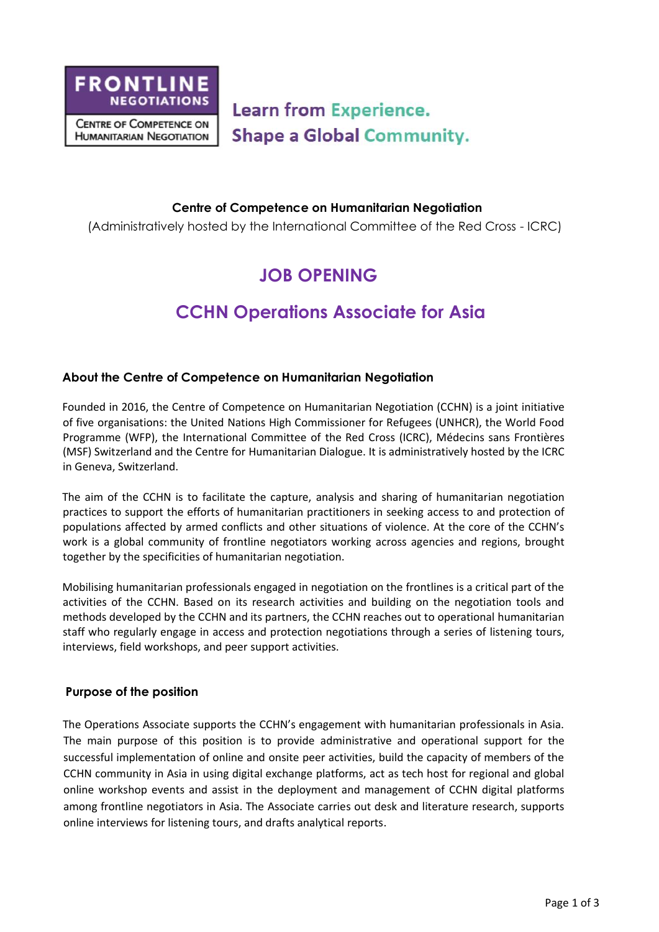

**Learn from Experience. Shape a Global Community.** 

#### **Centre of Competence on Humanitarian Negotiation**

(Administratively hosted by the International Committee of the Red Cross - ICRC)

# **JOB OPENING**

# **CCHN Operations Associate for Asia**

### **About the Centre of Competence on Humanitarian Negotiation**

Founded in 2016, the Centre of Competence on Humanitarian Negotiation (CCHN) is a joint initiative of five organisations: the United Nations High Commissioner for Refugees (UNHCR), the World Food Programme (WFP), the International Committee of the Red Cross (ICRC), Médecins sans Frontières (MSF) Switzerland and the Centre for Humanitarian Dialogue. It is administratively hosted by the ICRC in Geneva, Switzerland.

The aim of the CCHN is to facilitate the capture, analysis and sharing of humanitarian negotiation practices to support the efforts of humanitarian practitioners in seeking access to and protection of populations affected by armed conflicts and other situations of violence. At the core of the CCHN's work is a global community of frontline negotiators working across agencies and regions, brought together by the specificities of humanitarian negotiation.

Mobilising humanitarian professionals engaged in negotiation on the frontlines is a critical part of the activities of the CCHN. Based on its research activities and building on the negotiation tools and methods developed by the CCHN and its partners, the CCHN reaches out to operational humanitarian staff who regularly engage in access and protection negotiations through a series of listening tours, interviews, field workshops, and peer support activities.

### **Purpose of the position**

The Operations Associate supports the CCHN's engagement with humanitarian professionals in Asia. The main purpose of this position is to provide administrative and operational support for the successful implementation of online and onsite peer activities, build the capacity of members of the CCHN community in Asia in using digital exchange platforms, act as tech host for regional and global online workshop events and assist in the deployment and management of CCHN digital platforms among frontline negotiators in Asia. The Associate carries out desk and literature research, supports online interviews for listening tours, and drafts analytical reports.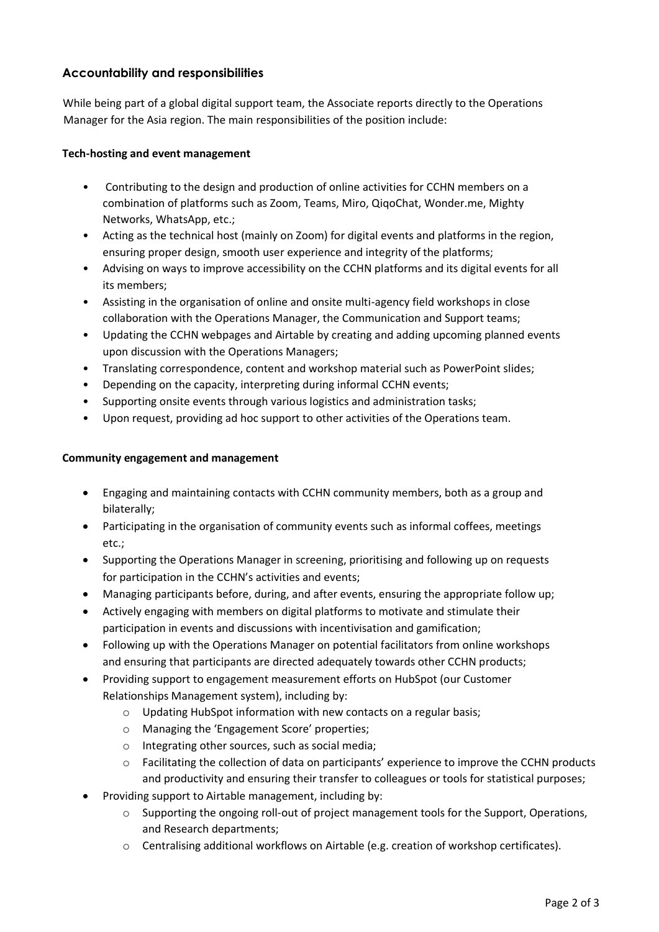## **Accountability and responsibilities**

While being part of a global digital support team, the Associate reports directly to the Operations Manager for the Asia region. The main responsibilities of the position include:

#### **Tech-hosting and event management**

- Contributing to the design and production of online activities for CCHN members on a combination of platforms such as Zoom, Teams, Miro, QiqoChat, Wonder.me, Mighty Networks, WhatsApp, etc.;
- Acting as the technical host (mainly on Zoom) for digital events and platforms in the region, ensuring proper design, smooth user experience and integrity of the platforms;
- Advising on ways to improve accessibility on the CCHN platforms and its digital events for all its members;
- Assisting in the organisation of online and onsite multi-agency field workshops in close collaboration with the Operations Manager, the Communication and Support teams;
- Updating the CCHN webpages and Airtable by creating and adding upcoming planned events upon discussion with the Operations Managers;
- Translating correspondence, content and workshop material such as PowerPoint slides;
- Depending on the capacity, interpreting during informal CCHN events;
- Supporting onsite events through various logistics and administration tasks;
- Upon request, providing ad hoc support to other activities of the Operations team.

#### **Community engagement and management**

- Engaging and maintaining contacts with CCHN community members, both as a group and bilaterally;
- Participating in the organisation of community events such as informal coffees, meetings etc.;
- Supporting the Operations Manager in screening, prioritising and following up on requests for participation in the CCHN's activities and events;
- Managing participants before, during, and after events, ensuring the appropriate follow up;
- Actively engaging with members on digital platforms to motivate and stimulate their participation in events and discussions with incentivisation and gamification;
- Following up with the Operations Manager on potential facilitators from online workshops and ensuring that participants are directed adequately towards other CCHN products;
- Providing support to engagement measurement efforts on HubSpot (our Customer Relationships Management system), including by:
	- o Updating HubSpot information with new contacts on a regular basis;
	- o Managing the 'Engagement Score' properties;
	- o Integrating other sources, such as social media;
	- o Facilitating the collection of data on participants' experience to improve the CCHN products and productivity and ensuring their transfer to colleagues or tools for statistical purposes;
- Providing support to Airtable management, including by:
	- o Supporting the ongoing roll-out of project management tools for the Support, Operations, and Research departments;
	- o Centralising additional workflows on Airtable (e.g. creation of workshop certificates).